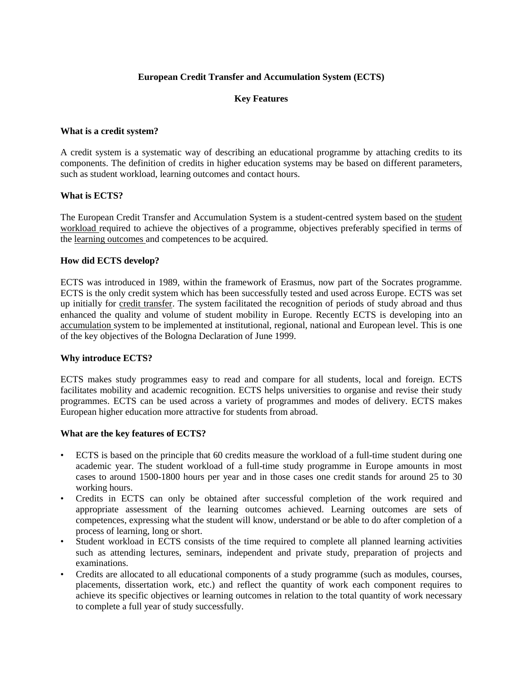## **European Credit Transfer and Accumulation System (ECTS)**

## **Key Features**

#### **What is a credit system?**

A credit system is a systematic way of describing an educational programme by attaching credits to its components. The definition of credits in higher education systems may be based on different parameters, such as student workload, learning outcomes and contact hours.

## **What is ECTS?**

The European Credit Transfer and Accumulation System is a student-centred system based on the student workload required to achieve the objectives of a programme, objectives preferably specified in terms of the learning outcomes and competences to be acquired.

#### **How did ECTS develop?**

ECTS was introduced in 1989, within the framework of Erasmus, now part of the Socrates programme. ECTS is the only credit system which has been successfully tested and used across Europe. ECTS was set up initially for credit transfer. The system facilitated the recognition of periods of study abroad and thus enhanced the quality and volume of student mobility in Europe. Recently ECTS is developing into an accumulation system to be implemented at institutional, regional, national and European level. This is one of the key objectives of the Bologna Declaration of June 1999.

## **Why introduce ECTS?**

ECTS makes study programmes easy to read and compare for all students, local and foreign. ECTS facilitates mobility and academic recognition. ECTS helps universities to organise and revise their study programmes. ECTS can be used across a variety of programmes and modes of delivery. ECTS makes European higher education more attractive for students from abroad.

#### **What are the key features of ECTS?**

- ECTS is based on the principle that 60 credits measure the workload of a full-time student during one academic year. The student workload of a full-time study programme in Europe amounts in most cases to around 1500-1800 hours per year and in those cases one credit stands for around 25 to 30 working hours.
- Credits in ECTS can only be obtained after successful completion of the work required and appropriate assessment of the learning outcomes achieved. Learning outcomes are sets of competences, expressing what the student will know, understand or be able to do after completion of a process of learning, long or short.
- Student workload in ECTS consists of the time required to complete all planned learning activities such as attending lectures, seminars, independent and private study, preparation of projects and examinations.
- Credits are allocated to all educational components of a study programme (such as modules, courses, placements, dissertation work, etc.) and reflect the quantity of work each component requires to achieve its specific objectives or learning outcomes in relation to the total quantity of work necessary to complete a full year of study successfully.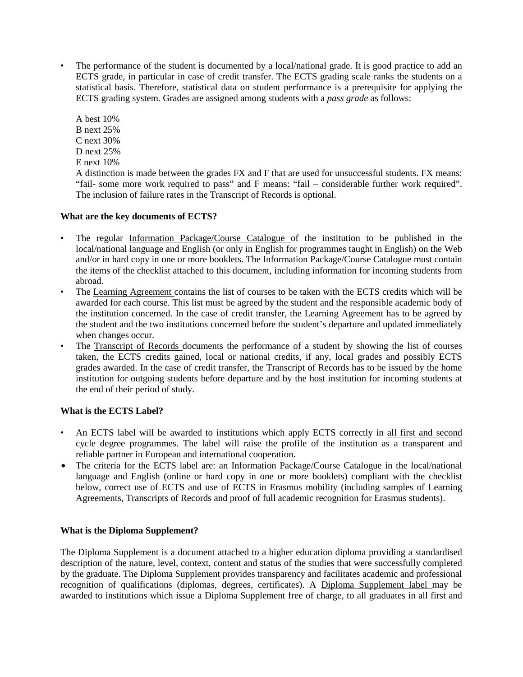• The performance of the student is documented by a local/national grade. It is good practice to add an ECTS grade, in particular in case of credit transfer. The ECTS grading scale ranks the students on a statistical basis. Therefore, statistical data on student performance is a prerequisite for applying the ECTS grading system. Grades are assigned among students with a *pass grade* as follows:

A best 10% B next 25% C next 30% D next 25% E next 10%

A distinction is made between the grades FX and F that are used for unsuccessful students. FX means: "fail- some more work required to pass" and F means: "fail – considerable further work required". The inclusion of failure rates in the Transcript of Records is optional.

# **What are the key documents of ECTS?**

- The regular Information Package/Course Catalogue of the institution to be published in the local/national language and English (or only in English for programmes taught in English) on the Web and/or in hard copy in one or more booklets. The Information Package/Course Catalogue must contain the items of the checklist attached to this document, including information for incoming students from abroad.
- The Learning Agreement contains the list of courses to be taken with the ECTS credits which will be awarded for each course. This list must be agreed by the student and the responsible academic body of the institution concerned. In the case of credit transfer, the Learning Agreement has to be agreed by the student and the two institutions concerned before the student's departure and updated immediately when changes occur.
- The Transcript of Records documents the performance of a student by showing the list of courses taken, the ECTS credits gained, local or national credits, if any, local grades and possibly ECTS grades awarded. In the case of credit transfer, the Transcript of Records has to be issued by the home institution for outgoing students before departure and by the host institution for incoming students at the end of their period of study.

# **What is the ECTS Label?**

- An ECTS label will be awarded to institutions which apply ECTS correctly in all first and second cycle degree programmes. The label will raise the profile of the institution as a transparent and reliable partner in European and international cooperation.
- The criteria for the ECTS label are: an Information Package/Course Catalogue in the local/national language and English (online or hard copy in one or more booklets) compliant with the checklist below, correct use of ECTS and use of ECTS in Erasmus mobility (including samples of Learning Agreements, Transcripts of Records and proof of full academic recognition for Erasmus students).

# **What is the Diploma Supplement?**

The Diploma Supplement is a document attached to a higher education diploma providing a standardised description of the nature, level, context, content and status of the studies that were successfully completed by the graduate. The Diploma Supplement provides transparency and facilitates academic and professional recognition of qualifications (diplomas, degrees, certificates). A Diploma Supplement label may be awarded to institutions which issue a Diploma Supplement free of charge, to all graduates in all first and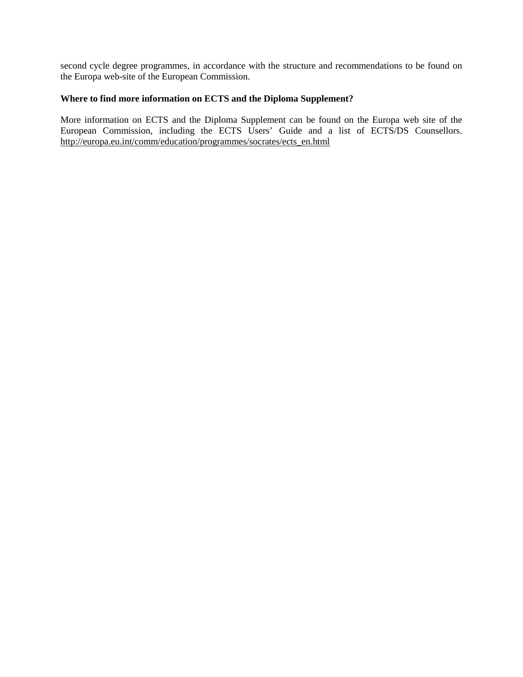second cycle degree programmes, in accordance with the structure and recommendations to be found on the Europa web-site of the European Commission.

## **Where to find more information on ECTS and the Diploma Supplement?**

More information on ECTS and the Diploma Supplement can be found on the Europa web site of the European Commission, including the ECTS Users' Guide and a list of ECTS/DS Counsellors. http://europa.eu.int/comm/education/programmes/socrates/ects\_en.html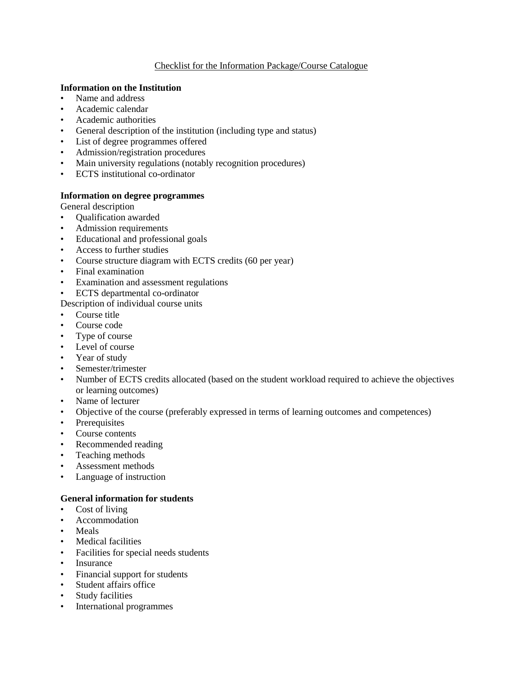## Checklist for the Information Package/Course Catalogue

## **Information on the Institution**

- Name and address
- Academic calendar
- Academic authorities
- General description of the institution (including type and status)
- List of degree programmes offered
- Admission/registration procedures
- Main university regulations (notably recognition procedures)
- ECTS institutional co-ordinator

## **Information on degree programmes**

General description

- Qualification awarded
- Admission requirements
- Educational and professional goals
- Access to further studies
- Course structure diagram with ECTS credits (60 per year)
- Final examination
- Examination and assessment regulations
- ECTS departmental co-ordinator
- Description of individual course units
- Course title
- Course code
- Type of course
- Level of course
- Year of study
- Semester/trimester
- Number of ECTS credits allocated (based on the student workload required to achieve the objectives or learning outcomes)
- Name of lecturer
- Objective of the course (preferably expressed in terms of learning outcomes and competences)
- **Prerequisites**
- Course contents
- Recommended reading
- Teaching methods
- Assessment methods
- Language of instruction

# **General information for students**

- Cost of living
- Accommodation
- Meals
- Medical facilities
- Facilities for special needs students
- **Insurance**
- Financial support for students
- Student affairs office
- Study facilities
- International programmes